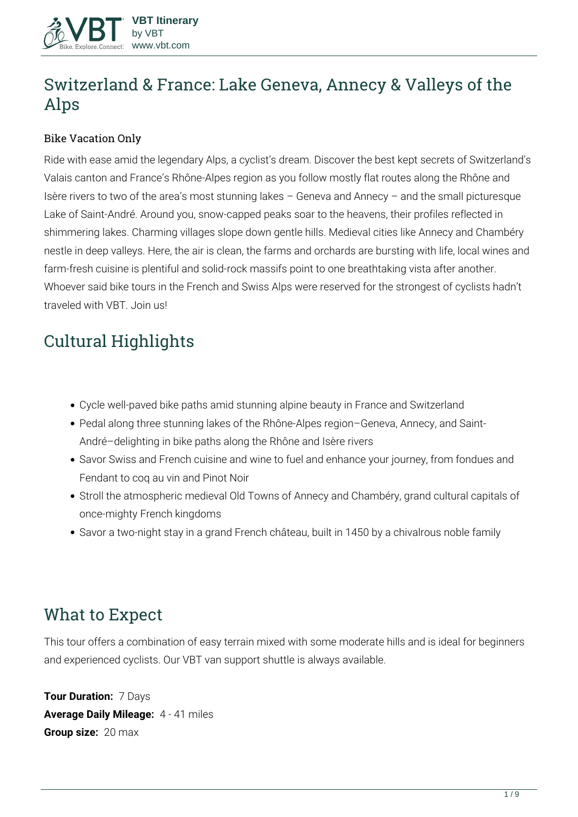

# **Switzerland & France: Lake Geneva, Annecy & Valleys of the Alps**

#### Bike Vacation Only

Ride with ease amid the legendary Alps, a cyclist's dream. Discover the best kept secrets of Switzerland's Valais canton and France's Rhône-Alpes region as you follow mostly flat routes along the Rhône and Isère rivers to two of the area's most stunning lakes – Geneva and Annecy – and the small picturesque Lake of Saint-André. Around you, snow-capped peaks soar to the heavens, their profiles reflected in shimmering lakes. Charming villages slope down gentle hills. Medieval cities like Annecy and Chambéry nestle in deep valleys. Here, the air is clean, the farms and orchards are bursting with life, local wines and farm-fresh cuisine is plentiful and solid-rock massifs point to one breathtaking vista after another. Whoever said bike tours in the French and Swiss Alps were reserved for the strongest of cyclists hadn't traveled with VBT. Join us!

# **Cultural Highlights**

- Cycle well-paved bike paths amid stunning alpine beauty in France and Switzerland
- Pedal along three stunning lakes of the Rhône-Alpes region–Geneva, Annecy, and Saint-André–delighting in bike paths along the Rhône and Isère rivers
- Savor Swiss and French cuisine and wine to fuel and enhance your journey, from fondues and Fendant to coq au vin and Pinot Noir
- Stroll the atmospheric medieval Old Towns of Annecy and Chambéry, grand cultural capitals of once-mighty French kingdoms
- Savor a two-night stay in a grand French château, built in 1450 by a chivalrous noble family

## **What to Expect**

This tour offers a combination of easy terrain mixed with some moderate hills and is ideal for beginners and experienced cyclists. Our VBT van support shuttle is always available.

**Tour Duration:** 7 Days **Average Daily Mileage:** 4 - 41 miles **Group size:** 20 max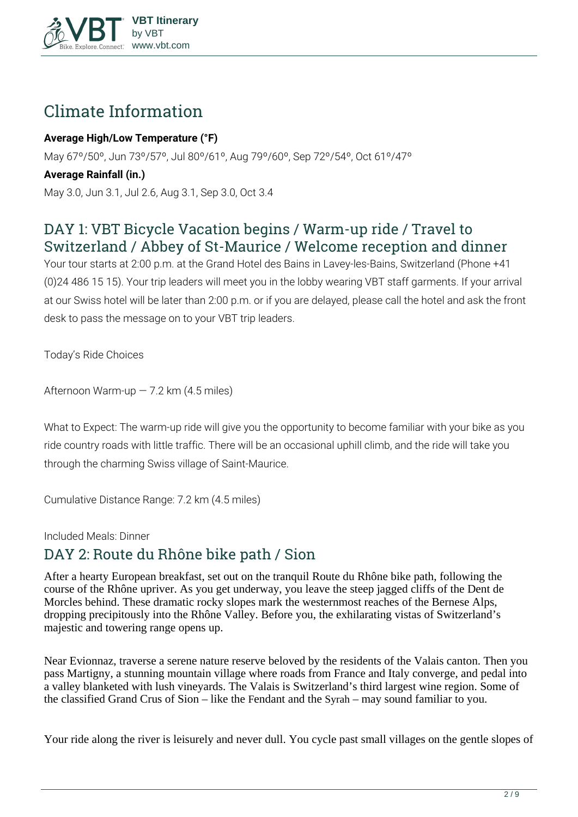

# **Climate Information**

#### **Average High/Low Temperature (°F)**

May 67º/50º, Jun 73º/57º, Jul 80º/61º, Aug 79º/60º, Sep 72º/54º, Oct 61º/47º

#### **Average Rainfall (in.)**

May 3.0, Jun 3.1, Jul 2.6, Aug 3.1, Sep 3.0, Oct 3.4

## **DAY 1: VBT Bicycle Vacation begins / Warm-up ride / Travel to Switzerland / Abbey of St-Maurice / Welcome reception and dinner**

Your tour starts at 2:00 p.m. at the Grand Hotel des Bains in Lavey-les-Bains, Switzerland (Phone +41 (0)24 486 15 15). Your trip leaders will meet you in the lobby wearing VBT staff garments. If your arrival at our Swiss hotel will be later than 2:00 p.m. or if you are delayed, please call the hotel and ask the front desk to pass the message on to your VBT trip leaders.

**Today's Ride Choices**

**Afternoon** Warm-up — 7.2 km (4.5 miles)

**What to Expect:** The warm-up ride will give you the opportunity to become familiar with your bike as you ride country roads with little traffic. There will be an occasional uphill climb, and the ride will take you through the charming Swiss village of Saint-Maurice.

**Cumulative Distance Range:** 7.2 km (4.5 miles)

**Included Meals:** Dinner

## **DAY 2: Route du Rhône bike path / Sion**

After a hearty European breakfast, set out on the tranquil Route du Rhône bike path, following the course of the Rhône upriver. As you get underway, you leave the steep jagged cliffs of the Dent de Morcles behind. These dramatic rocky slopes mark the westernmost reaches of the Bernese Alps, dropping precipitously into the Rhône Valley. Before you, the exhilarating vistas of Switzerland's majestic and towering range opens up.

Near Evionnaz, traverse a serene nature reserve beloved by the residents of the Valais canton. Then you pass Martigny, a stunning mountain village where roads from France and Italy converge, and pedal into a valley blanketed with lush vineyards. The Valais is Switzerland's third largest wine region. Some of the classified Grand Crus of Sion – like the Fendant and the Syrah – may sound familiar to you.

Your ride along the river is leisurely and never dull. You cycle past small villages on the gentle slopes of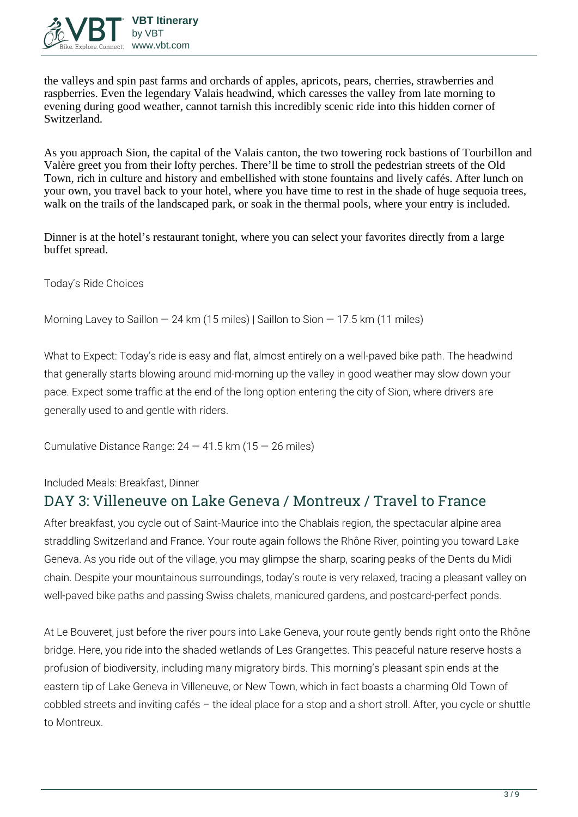

the valleys and spin past farms and orchards of apples, apricots, pears, cherries, strawberries and raspberries. Even the legendary Valais headwind, which caresses the valley from late morning to evening during good weather, cannot tarnish this incredibly scenic ride into this hidden corner of Switzerland.

As you approach Sion, the capital of the Valais canton, the two towering rock bastions of Tourbillon and Valère greet you from their lofty perches. There'll be time to stroll the pedestrian streets of the Old Town, rich in culture and history and embellished with stone fountains and lively cafés. After lunch on your own, you travel back to your hotel, where you have time to rest in the shade of huge sequoia trees, walk on the trails of the landscaped park, or soak in the thermal pools, where your entry is included.

Dinner is at the hotel's restaurant tonight, where you can select your favorites directly from a large buffet spread.

**Today's Ride Choices**

**Morning** Lavey to Saillon — 24 km (15 miles) | Saillon to Sion — 17.5 km (11 miles)

**What to Expect:** Today's ride is easy and flat, almost entirely on a well-paved bike path. The headwind that generally starts blowing around mid-morning up the valley in good weather may slow down your pace. Expect some traffic at the end of the long option entering the city of Sion, where drivers are generally used to and gentle with riders.

**Cumulative Distance Range:** 24 — 41.5 km (15 — 26 miles)

**Included Meals:** Breakfast, Dinner

### **DAY 3: Villeneuve on Lake Geneva / Montreux / Travel to France**

After breakfast, you cycle out of Saint-Maurice into the Chablais region, the spectacular alpine area straddling Switzerland and France. Your route again follows the Rhône River, pointing you toward Lake Geneva. As you ride out of the village, you may glimpse the sharp, soaring peaks of the Dents du Midi chain. Despite your mountainous surroundings, today's route is very relaxed, tracing a pleasant valley on well-paved bike paths and passing Swiss chalets, manicured gardens, and postcard-perfect ponds.

At Le Bouveret, just before the river pours into Lake Geneva, your route gently bends right onto the Rhône bridge. Here, you ride into the shaded wetlands of Les Grangettes. This peaceful nature reserve hosts a profusion of biodiversity, including many migratory birds. This morning's pleasant spin ends at the eastern tip of Lake Geneva in Villeneuve, or New Town, which in fact boasts a charming Old Town of cobbled streets and inviting cafés – the ideal place for a stop and a short stroll. After, you cycle or shuttle to Montreux.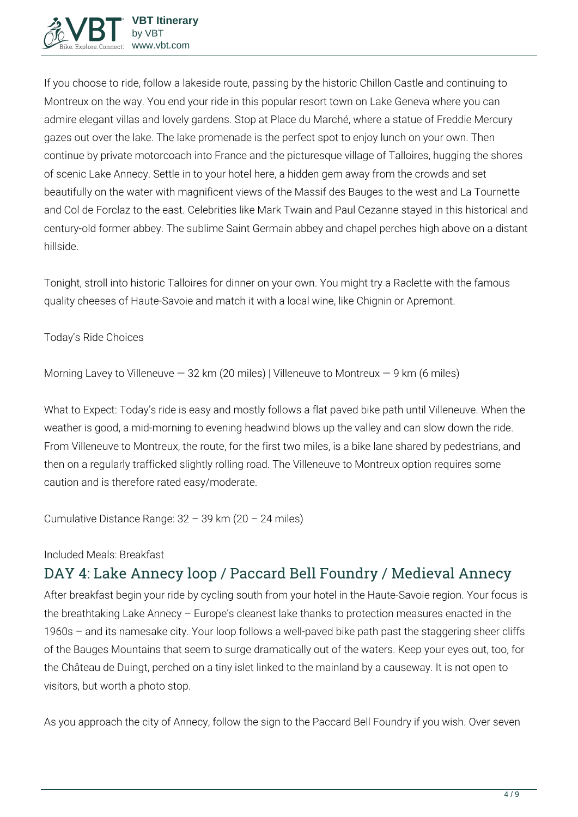If you choose to ride, follow a lakeside route, passing by the historic Chillon Castle and continuing to Montreux on the way. You end your ride in this popular resort town on Lake Geneva where you can admire elegant villas and lovely gardens. Stop at Place du Marché, where a statue of Freddie Mercury gazes out over the lake. The lake promenade is the perfect spot to enjoy lunch on your own. Then continue by private motorcoach into France and the picturesque village of Talloires, hugging the shores of scenic Lake Annecy. Settle in to your hotel here, a hidden gem away from the crowds and set beautifully on the water with magnificent views of the Massif des Bauges to the west and La Tournette and Col de Forclaz to the east. Celebrities like Mark Twain and Paul Cezanne stayed in this historical and century-old former abbey. The sublime Saint Germain abbey and chapel perches high above on a distant hillside.

Tonight, stroll into historic Talloires for dinner on your own. You might try a Raclette with the famous quality cheeses of Haute-Savoie and match it with a local wine, like Chignin or Apremont.

#### **Today's Ride Choices**

**Morning** Lavey to Villeneuve — 32 km (20 miles) | Villeneuve to Montreux — 9 km (6 miles)

**What to Expect:** Today's ride is easy and mostly follows a flat paved bike path until Villeneuve. When the weather is good, a mid-morning to evening headwind blows up the valley and can slow down the ride. From Villeneuve to Montreux, the route, for the first two miles, is a bike lane shared by pedestrians, and then on a regularly trafficked slightly rolling road. The Villeneuve to Montreux option requires some caution and is therefore rated easy/moderate.

**Cumulative Distance Range:** 32 – 39 km (20 – 24 miles)

#### **Included Meals:** Breakfast

## **DAY 4: Lake Annecy loop / Paccard Bell Foundry / Medieval Annecy**

After breakfast begin your ride by cycling south from your hotel in the Haute-Savoie region. Your focus is the breathtaking Lake Annecy – Europe's cleanest lake thanks to protection measures enacted in the 1960s – and its namesake city. Your loop follows a well-paved bike path past the staggering sheer cliffs of the Bauges Mountains that seem to surge dramatically out of the waters. Keep your eyes out, too, for the Château de Duingt, perched on a tiny islet linked to the mainland by a causeway. It is not open to visitors, but worth a photo stop.

As you approach the city of Annecy, follow the sign to the Paccard Bell Foundry if you wish. Over seven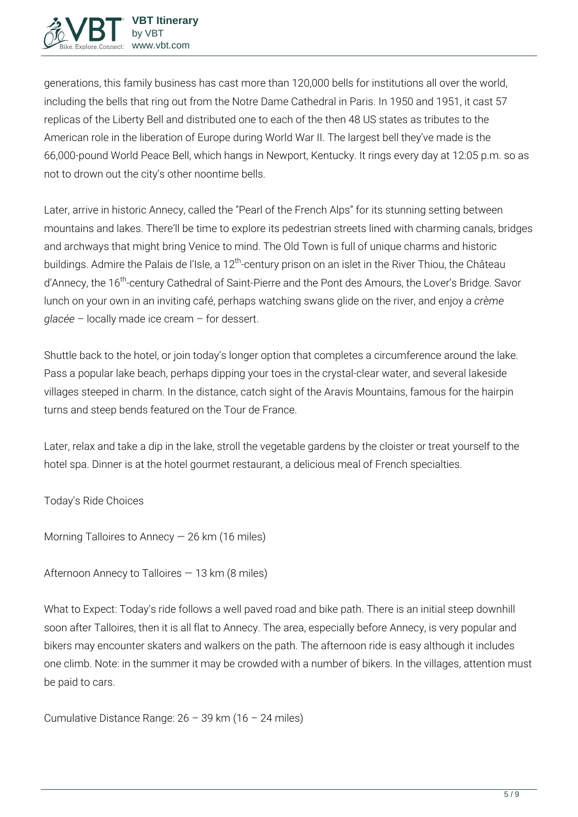

generations, this family business has cast more than 120,000 bells for institutions all over the world, including the bells that ring out from the Notre Dame Cathedral in Paris. In 1950 and 1951, it cast 57 replicas of the Liberty Bell and distributed one to each of the then 48 US states as tributes to the American role in the liberation of Europe during World War II. The largest bell they've made is the 66,000-pound World Peace Bell, which hangs in Newport, Kentucky. It rings every day at 12:05 p.m. so as not to drown out the city's other noontime bells.

Later, arrive in historic Annecy, called the "Pearl of the French Alps" for its stunning setting between mountains and lakes. There'll be time to explore its pedestrian streets lined with charming canals, bridges and archways that might bring Venice to mind. The Old Town is full of unique charms and historic buildings. Admire the Palais de l'Isle, a 12<sup>th</sup>-century prison on an islet in the River Thiou, the Château d'Annecy, the 16<sup>th</sup>-century Cathedral of Saint-Pierre and the Pont des Amours, the Lover's Bridge. Savor lunch on your own in an inviting café, perhaps watching swans glide on the river, and enjoy a *crème glacée* – locally made ice cream – for dessert.

Shuttle back to the hotel, or join today's longer option that completes a circumference around the lake. Pass a popular lake beach, perhaps dipping your toes in the crystal-clear water, and several lakeside villages steeped in charm. In the distance, catch sight of the Aravis Mountains, famous for the hairpin turns and steep bends featured on the Tour de France.

Later, relax and take a dip in the lake, stroll the vegetable gardens by the cloister or treat yourself to the hotel spa. Dinner is at the hotel gourmet restaurant, a delicious meal of French specialties.

**Today's Ride Choices**

**Morning** Talloires to Annecy — 26 km (16 miles)

**Afternoon** Annecy to Talloires — 13 km (8 miles)

**What to Expect:** Today's ride follows a well paved road and bike path. There is an initial steep downhill soon after Talloires, then it is all flat to Annecy. The area, especially before Annecy, is very popular and bikers may encounter skaters and walkers on the path. The afternoon ride is easy although it includes one climb. Note: in the summer it may be crowded with a number of bikers. In the villages, attention must be paid to cars.

**Cumulative Distance Range:** 26 – 39 km (16 – 24 miles)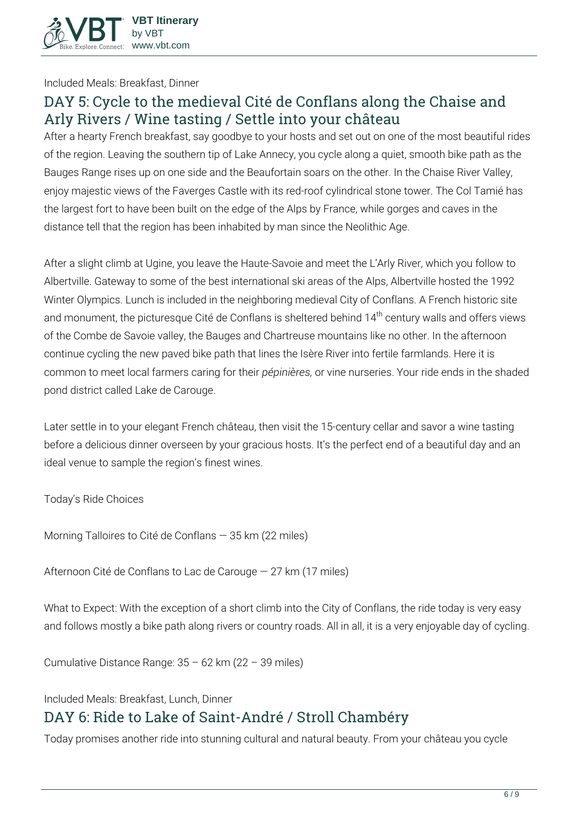

**Included Meals:** Breakfast, Dinner

## **DAY 5: Cycle to the medieval Cité de Conflans along the Chaise and Arly Rivers / Wine tasting / Settle into your château**

After a hearty French breakfast, say goodbye to your hosts and set out on one of the most beautiful rides of the region. Leaving the southern tip of Lake Annecy, you cycle along a quiet, smooth bike path as the Bauges Range rises up on one side and the Beaufortain soars on the other. In the Chaise River Valley, enjoy majestic views of the Faverges Castle with its red-roof cylindrical stone tower. The Col Tamié has the largest fort to have been built on the edge of the Alps by France, while gorges and caves in the distance tell that the region has been inhabited by man since the Neolithic Age.

After a slight climb at Ugine, you leave the Haute-Savoie and meet the L'Arly River, which you follow to Albertville. Gateway to some of the best international ski areas of the Alps, Albertville hosted the 1992 Winter Olympics. Lunch is included in the neighboring medieval City of Conflans. A French historic site and monument, the picturesque Cité de Conflans is sheltered behind 14<sup>th</sup> century walls and offers views of the Combe de Savoie valley, the Bauges and Chartreuse mountains like no other. In the afternoon continue cycling the new paved bike path that lines the Isère River into fertile farmlands. Here it is common to meet local farmers caring for their *pépinières,* or vine nurseries. Your ride ends in the shaded pond district called Lake de Carouge.

Later settle in to your elegant French château, then visit the 15-century cellar and savor a wine tasting before a delicious dinner overseen by your gracious hosts. It's the perfect end of a beautiful day and an ideal venue to sample the region's finest wines.

**Today's Ride Choices**

**Morning** Talloires to Cité de Conflans — 35 km (22 miles)

**Afternoon** Cité de Conflans to Lac de Carouge — 27 km (17 miles)

**What to Expect:** With the exception of a short climb into the City of Conflans, the ride today is very easy and follows mostly a bike path along rivers or country roads. All in all, it is a very enjoyable day of cycling.

**Cumulative Distance Range:** 35 – 62 km (22 – 39 miles)

#### **Included Meals:** Breakfast, Lunch, Dinner

## **DAY 6: Ride to Lake of Saint-André / Stroll Chambéry**

Today promises another ride into stunning cultural and natural beauty. From your château you cycle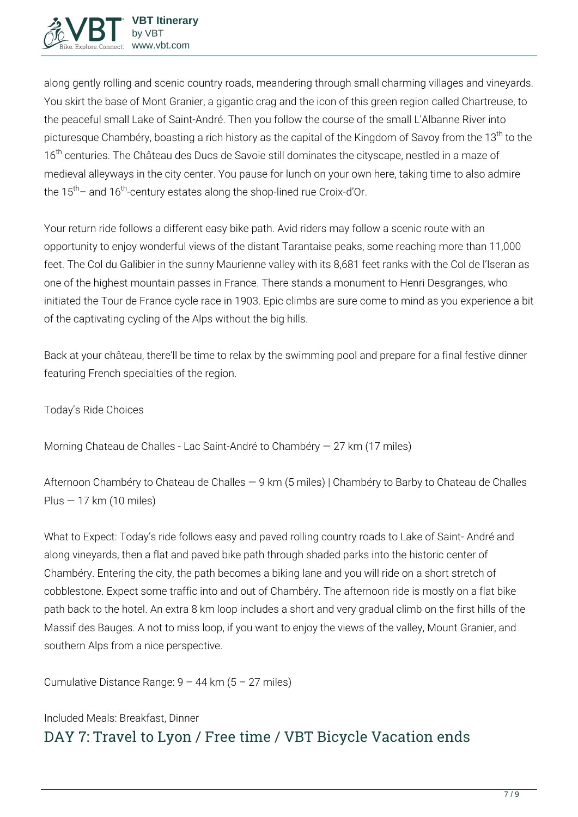

along gently rolling and scenic country roads, meandering through small charming villages and vineyards. You skirt the base of Mont Granier, a gigantic crag and the icon of this green region called Chartreuse, to the peaceful small Lake of Saint-André. Then you follow the course of the small L'Albanne River into picturesque Chambéry, boasting a rich history as the capital of the Kingdom of Savoy from the 13<sup>th</sup> to the 16<sup>th</sup> centuries. The Château des Ducs de Savoie still dominates the cityscape, nestled in a maze of medieval alleyways in the city center. You pause for lunch on your own here, taking time to also admire the  $15<sup>th</sup>$  and  $16<sup>th</sup>$ -century estates along the shop-lined rue Croix-d'Or.

Your return ride follows a different easy bike path. Avid riders may follow a scenic route with an opportunity to enjoy wonderful views of the distant Tarantaise peaks, some reaching more than 11,000 feet. The Col du Galibier in the sunny Maurienne valley with its 8,681 feet ranks with the Col de l'Iseran as one of the highest mountain passes in France. There stands a monument to Henri Desgranges, who initiated the Tour de France cycle race in 1903. Epic climbs are sure come to mind as you experience a bit of the captivating cycling of the Alps without the big hills.

Back at your château, there'll be time to relax by the swimming pool and prepare for a final festive dinner featuring French specialties of the region.

**Today's Ride Choices**

**Morning** Chateau de Challes - Lac Saint-André to Chambéry — 27 km (17 miles)

**Afternoon** Chambéry to Chateau de Challes — 9 km (5 miles) | Chambéry to Barby to Chateau de Challes  $Plus - 17 km (10 miles)$ 

**What to Expect:** Today's ride follows easy and paved rolling country roads to Lake of Saint- André and along vineyards, then a flat and paved bike path through shaded parks into the historic center of Chambéry. Entering the city, the path becomes a biking lane and you will ride on a short stretch of cobblestone. Expect some traffic into and out of Chambéry. The afternoon ride is mostly on a flat bike path back to the hotel. An extra 8 km loop includes a short and very gradual climb on the first hills of the Massif des Bauges. A not to miss loop, if you want to enjoy the views of the valley, Mount Granier, and southern Alps from a nice perspective.

**Cumulative Distance Range:** 9 – 44 km (5 – 27 miles)

## **Included Meals:** Breakfast, Dinner **DAY 7: Travel to Lyon / Free time / VBT Bicycle Vacation ends**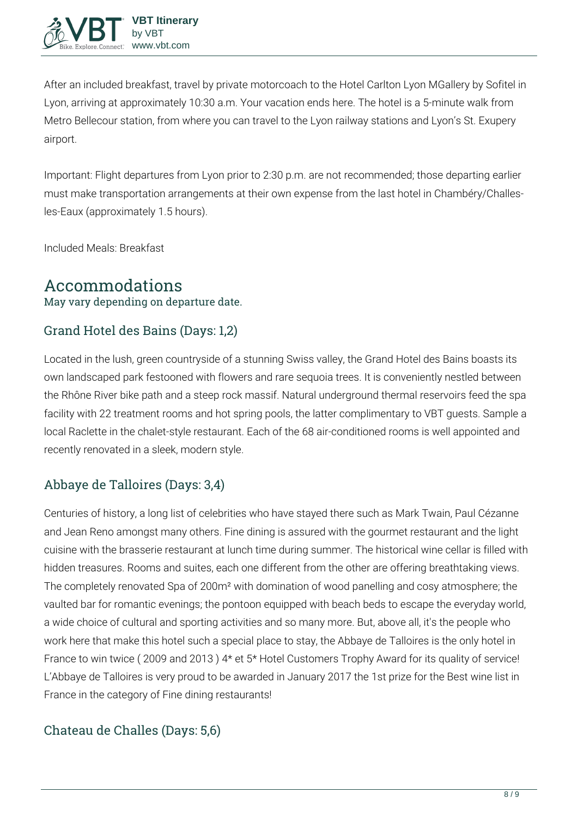

After an included breakfast, travel by private motorcoach to the Hotel Carlton Lyon MGallery by Sofitel in Lyon, arriving at approximately 10:30 a.m. Your vacation ends here. The hotel is a 5-minute walk from Metro Bellecour station, from where you can travel to the Lyon railway stations and Lyon's St. Exupery airport.

**Important:** Flight departures from Lyon prior to 2:30 p.m. are not recommended; those departing earlier must make transportation arrangements at their own expense from the last hotel in Chambéry/Challesles-Eaux (approximately 1.5 hours).

**Included Meals:** Breakfast

## **Accommodations**

May vary depending on departure date.

### Grand Hotel des Bains (Days: 1,2)

Located in the lush, green countryside of a stunning Swiss valley, the Grand Hotel des Bains boasts its own landscaped park festooned with flowers and rare sequoia trees. It is conveniently nestled between the Rhône River bike path and a steep rock massif. Natural underground thermal reservoirs feed the spa facility with 22 treatment rooms and hot spring pools, the latter complimentary to VBT guests. Sample a local Raclette in the chalet-style restaurant. Each of the 68 air-conditioned rooms is well appointed and recently renovated in a sleek, modern style.

### Abbaye de Talloires (Days: 3,4)

Centuries of history, a long list of celebrities who have stayed there such as Mark Twain, Paul Cézanne and Jean Reno amongst many others. Fine dining is assured with the gourmet restaurant and the light cuisine with the brasserie restaurant at lunch time during summer. The historical wine cellar is filled with hidden treasures. Rooms and suites, each one different from the other are offering breathtaking views. The completely renovated Spa of 200m² with domination of wood panelling and cosy atmosphere; the vaulted bar for romantic evenings; the pontoon equipped with beach beds to escape the everyday world, a wide choice of cultural and sporting activities and so many more. But, above all, it's the people who work here that make this hotel such a special place to stay, the Abbaye de Talloires is the only hotel in France to win twice ( 2009 and 2013 ) 4\* et 5\* Hotel Customers Trophy Award for its quality of service! L'Abbaye de Talloires is very proud to be awarded in January 2017 the 1st prize for the Best wine list in France in the category of Fine dining restaurants!

### Chateau de Challes (Days: 5,6)